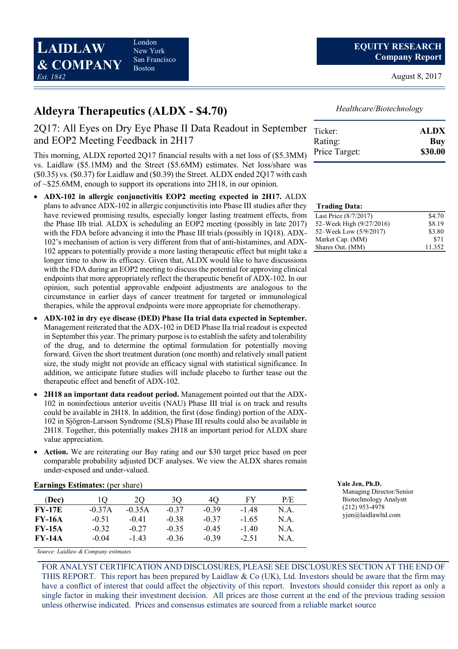London New York San Francisco Boston

August 8, 2017

# Aldeyra Therapeutics (ALDX - \$4.70)

## 2Q17: All Eyes on Dry Eye Phase II Data Readout in September and EOP2 Meeting Feedback in 2H17

This morning, ALDX reported 2Q17 financial results with a net loss of (\$5.3MM) vs. Laidlaw (\$5.1MM) and the Street (\$5.6MM) estimates. Net loss/share was (\$0.35) vs. (\$0.37) for Laidlaw and (\$0.39) the Street. ALDX ended 2Q17 with cash of ~\$25.6MM, enough to support its operations into 2H18, in our opinion.

- ADX-102 in allergic conjunctivitis EOP2 meeting expected in 2H17. ALDX plans to advance ADX-102 in allergic conjunctivitis into Phase III studies after they have reviewed promising results, especially longer lasting treatment effects, from the Phase IIb trial. ALDX is scheduling an EOP2 meeting (possibly in late 2017) with the FDA before advancing it into the Phase III trials (possibly in 1Q18). ADX-102's mechanism of action is very different from that of anti-histamines, and ADX-102 appears to potentially provide a more lasting therapeutic effect but might take a longer time to show its efficacy. Given that, ALDX would like to have discussions with the FDA during an EOP2 meeting to discuss the potential for approving clinical endpoints that more appropriately reflect the therapeutic benefit of ADX-102. In our opinion, such potential approvable endpoint adjustments are analogous to the circumstance in earlier days of cancer treatment for targeted or immunological therapies, while the approval endpoints were more appropriate for chemotherapy.
- ADX-102 in dry eye disease (DED) Phase IIa trial data expected in September. Management reiterated that the ADX-102 in DED Phase IIa trial readout is expected in September this year. The primary purpose is to establish the safety and tolerability of the drug, and to determine the optimal formulation for potentially moving forward. Given the short treatment duration (one month) and relatively small patient size, the study might not provide an efficacy signal with statistical significance. In addition, we anticipate future studies will include placebo to further tease out the therapeutic effect and benefit of ADX-102.
- 2H18 an important data readout period. Management pointed out that the ADX-102 in noninfectious anterior uveitis (NAU) Phase III trial is on track and results could be available in 2H18. In addition, the first (dose finding) portion of the ADX-102 in Sjögren-Larsson Syndrome (SLS) Phase III results could also be available in 2H18. Together, this potentially makes 2H18 an important period for ALDX share value appreciation.
- Action. We are reiterating our Buy rating and our \$30 target price based on peer comparable probability adjusted DCF analyses. We view the ALDX shares remain under-exposed and under-valued.

| $E$ al lilligs Estimates. (pc) share |          |          |         |         |         |      |  |
|--------------------------------------|----------|----------|---------|---------|---------|------|--|
| (Dec)                                |          | 20       | 30      | 40      | FY      | P/E  |  |
| <b>FY-17E</b>                        | $-0.37A$ | $-0.35A$ | $-0.37$ | $-0.39$ | -148    | N.A. |  |
| <b>FY-16A</b>                        | $-0.51$  | $-0.41$  | $-0.38$ | $-0.37$ | $-1.65$ | N.A. |  |
| <b>FY-15A</b>                        | $-0.32$  | $-0.27$  | $-0.35$ | $-0.45$ | $-140$  | N.A. |  |
| <b>FY-14A</b>                        | $-0.04$  | $-143$   | $-0.36$ | $-0.39$ | $-2.51$ | N A  |  |

### Earnings Estimates: (per share)

Healthcare/Biotechnology

| Ticker:       | <b>ALDX</b> |
|---------------|-------------|
| Rating:       | Buy         |
| Price Target: | \$30.00     |

#### Trading Data:

| Last Price (8/7/2017)    | \$4.70 |
|--------------------------|--------|
| 52-Week High (9/27/2016) | \$8.19 |
| 52–Week Low (5/9/2017)   | \$3.80 |
| Market Cap. (MM)         | \$71   |
| Shares Out. (MM)         | 11.352 |

| Yale Jen, Ph.D.               |
|-------------------------------|
| Managing Director/Senior      |
| <b>Biotechnology Analystt</b> |
| $(212)$ 953-4978              |
| yjen@laidlawltd.com           |

Source: Laidlaw & Company estimates

FOR ANALYST CERTIFICATION AND DISCLOSURES, PLEASE SEE DISCLOSURES SECTION AT THE END OF THIS REPORT. This report has been prepared by Laidlaw & Co (UK), Ltd. Investors should be aware that the firm may have a conflict of interest that could affect the objectivity of this report. Investors should consider this report as only a single factor in making their investment decision. All prices are those current at the end of the previous trading session unless otherwise indicated. Prices and consensus estimates are sourced from a reliable market source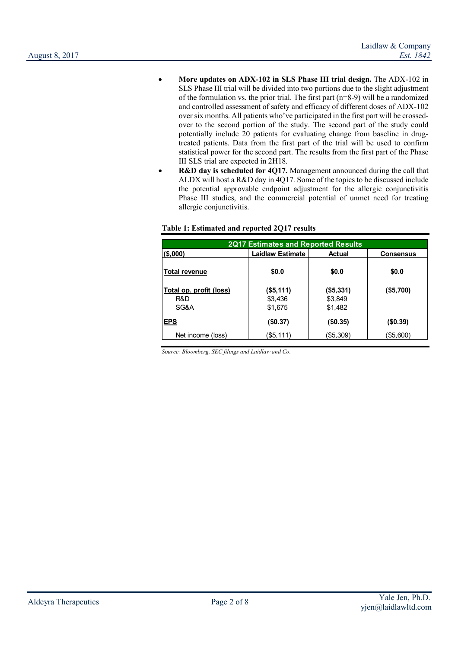- More updates on ADX-102 in SLS Phase III trial design. The ADX-102 in SLS Phase III trial will be divided into two portions due to the slight adjustment of the formulation vs. the prior trial. The first part (n=8-9) will be a randomized and controlled assessment of safety and efficacy of different doses of ADX-102 over six months. All patients who've participated in the first part will be crossedover to the second portion of the study. The second part of the study could potentially include 20 patients for evaluating change from baseline in drugtreated patients. Data from the first part of the trial will be used to confirm statistical power for the second part. The results from the first part of the Phase III SLS trial are expected in 2H18.
- **R&D day is scheduled for 4Q17.** Management announced during the call that ALDX will host a R&D day in 4Q17. Some of the topics to be discussed include the potential approvable endpoint adjustment for the allergic conjunctivitis Phase III studies, and the commercial potential of unmet need for treating allergic conjunctivitis.

| <b>2Q17 Estimates and Reported Results</b> |                         |                      |                  |  |  |  |
|--------------------------------------------|-------------------------|----------------------|------------------|--|--|--|
| $($ \$,000)                                | <b>Laidlaw Estimate</b> | <b>Actual</b>        | <b>Consensus</b> |  |  |  |
| <b>Total revenue</b>                       | \$0.0                   | \$0.0                | \$0.0            |  |  |  |
| Total op. profit (loss)<br>R&D             | $($ \$5,111)<br>\$3,436 | (\$5,331)<br>\$3,849 | (\$5,700)        |  |  |  |
| SG&A<br><b>EPS</b>                         | \$1,675<br>(\$0.37)     | \$1,482<br>(\$0.35)  | $($ \$0.39 $)$   |  |  |  |
| Net income (loss)                          | (\$5,111)               | (\$5,309)            | (\$5,600)        |  |  |  |

### Table 1: Estimated and reported 2Q17 results

Source: Bloomberg, SEC filings and Laidlaw and Co.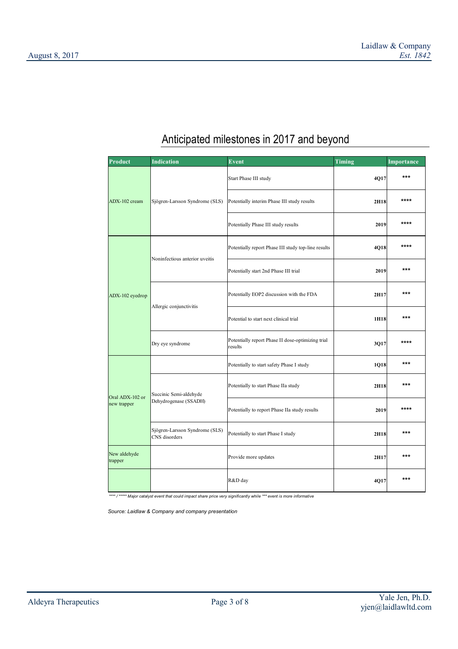| Product                        | <b>Indication</b>                               | Event                                                        | <b>Timing</b> | Importance |
|--------------------------------|-------------------------------------------------|--------------------------------------------------------------|---------------|------------|
|                                |                                                 | Start Phase III study                                        | 4Q17          | ***        |
| ADX-102 cream                  | Sjögren-Larsson Syndrome (SLS)                  | Potentially interim Phase III study results                  | 2H18          | ****       |
|                                |                                                 | Potentially Phase III study results                          | 2019          | ****       |
|                                |                                                 | Potentially report Phase III study top-line results          | 4Q18          | ****       |
|                                | Noninfectious anterior uveitis                  | Potentially start 2nd Phase III trial                        | 2019          | ***        |
| ADX-102 eyedrop                |                                                 | Potentially EOP2 discussion with the FDA                     | 2H17          | ***        |
|                                | Allergic conjunctivitis                         | Potential to start next clinical trial                       | 1H18          | ***        |
|                                | Dry eye syndrome                                | Potentially report Phase II dose-optimizing trial<br>results | 3Q17          | ****       |
| Oral ADX-102 or<br>new trapper |                                                 | Potentially to start safety Phase I study                    | 1Q18          | ***        |
|                                | Succinic Semi-aldehyde                          | Potentially to start Phase IIa study                         | 2H18          | ***        |
|                                | Dehydrogenase (SSADH)                           | Potentially to report Phase IIa study results                | 2019          | ****       |
|                                | Sjögren-Larsson Syndrome (SLS)<br>CNS disorders | Potentially to start Phase I study                           | 2H18          | ***        |
| New aldehyde<br>trapper        |                                                 | Provide more updates                                         | 2H17          | ***        |
|                                |                                                 | R&D day                                                      | 4Q17          | ***        |

# Anticipated milestones in 2017 and beyond

\*/\*\*\*\*\* Major catalyst event that could impact share price very significantly while \*\*\* event is more informative

Source: Laidlaw & Company and company presentation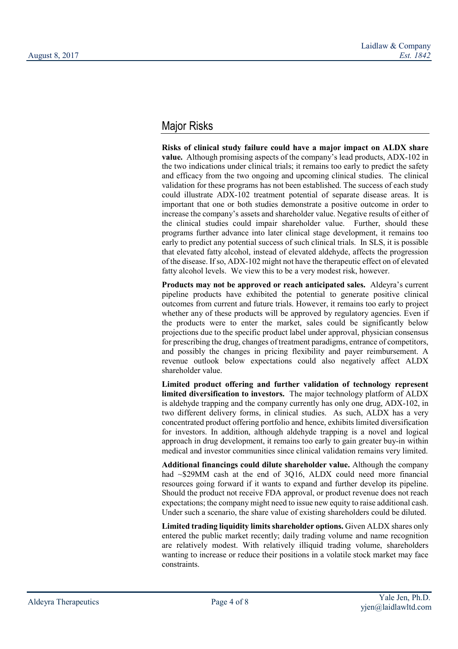## Major Risks

Risks of clinical study failure could have a major impact on ALDX share value. Although promising aspects of the company's lead products, ADX-102 in the two indications under clinical trials; it remains too early to predict the safety and efficacy from the two ongoing and upcoming clinical studies. The clinical validation for these programs has not been established. The success of each study could illustrate ADX-102 treatment potential of separate disease areas. It is important that one or both studies demonstrate a positive outcome in order to increase the company's assets and shareholder value. Negative results of either of the clinical studies could impair shareholder value. Further, should these programs further advance into later clinical stage development, it remains too early to predict any potential success of such clinical trials. In SLS, it is possible that elevated fatty alcohol, instead of elevated aldehyde, affects the progression of the disease. If so, ADX-102 might not have the therapeutic effect on of elevated fatty alcohol levels. We view this to be a very modest risk, however.

Products may not be approved or reach anticipated sales. Aldeyra's current pipeline products have exhibited the potential to generate positive clinical outcomes from current and future trials. However, it remains too early to project whether any of these products will be approved by regulatory agencies. Even if the products were to enter the market, sales could be significantly below projections due to the specific product label under approval, physician consensus for prescribing the drug, changes of treatment paradigms, entrance of competitors, and possibly the changes in pricing flexibility and payer reimbursement. A revenue outlook below expectations could also negatively affect ALDX shareholder value.

Limited product offering and further validation of technology represent limited diversification to investors. The major technology platform of ALDX is aldehyde trapping and the company currently has only one drug, ADX-102, in two different delivery forms, in clinical studies. As such, ALDX has a very concentrated product offering portfolio and hence, exhibits limited diversification for investors. In addition, although aldehyde trapping is a novel and logical approach in drug development, it remains too early to gain greater buy-in within medical and investor communities since clinical validation remains very limited.

Additional financings could dilute shareholder value. Although the company had ~\$29MM cash at the end of 3Q16, ALDX could need more financial resources going forward if it wants to expand and further develop its pipeline. Should the product not receive FDA approval, or product revenue does not reach expectations; the company might need to issue new equity to raise additional cash. Under such a scenario, the share value of existing shareholders could be diluted.

Limited trading liquidity limits shareholder options. Given ALDX shares only entered the public market recently; daily trading volume and name recognition are relatively modest. With relatively illiquid trading volume, shareholders wanting to increase or reduce their positions in a volatile stock market may face constraints.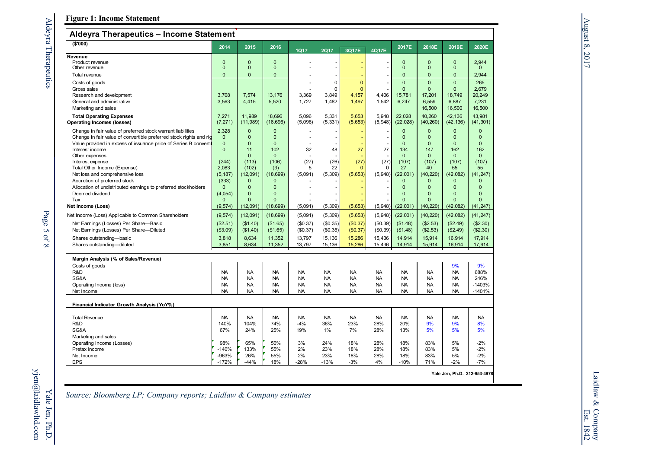## Figure 1: Income Statement

## Aldeyra Therapeutics – Income Statement

| Algevia Therapeutics – income Statement<br>( \$'000)                                                                                   |                              |                              |                              |             |                     |                         |                  |                                  |                              |                                  |                       |
|----------------------------------------------------------------------------------------------------------------------------------------|------------------------------|------------------------------|------------------------------|-------------|---------------------|-------------------------|------------------|----------------------------------|------------------------------|----------------------------------|-----------------------|
|                                                                                                                                        | 2014                         | 2015                         | 2016                         | <b>1Q17</b> | <b>2Q17</b>         | 3Q17E                   | 4Q17E            | 2017E                            | 2018E                        | 2019E                            | 2020E                 |
| Revenue                                                                                                                                |                              |                              |                              |             |                     |                         |                  |                                  |                              |                                  |                       |
| Product revenue                                                                                                                        | $\mathbf{0}$<br>$\mathbf{0}$ | $\mathbf{0}$<br>$\mathbf{0}$ | $\mathbf{0}$                 |             |                     |                         |                  | $\overline{0}$<br>$\mathbf 0$    | $\mathbf{0}$<br>$\mathbf{0}$ | $\mathbf{0}$<br>$\mathbf{0}$     | 2,944<br>$\mathbf{0}$ |
| Other revenue                                                                                                                          |                              |                              | $\mathbf 0$                  |             |                     |                         |                  |                                  |                              |                                  |                       |
| Total revenue                                                                                                                          | $\mathbf{0}$                 | $\overline{0}$               | $\mathbf{0}$                 |             |                     |                         |                  | $\overline{0}$                   | 0                            | 0                                | 2,944                 |
| Costs of goods                                                                                                                         |                              |                              |                              | ÷,          | $\mathbf 0$         | $\overline{0}$          |                  | $\overline{0}$                   | $\overline{0}$               | $\overline{0}$                   | 265                   |
| Gross sales<br>Research and development                                                                                                | 3,708                        | 7,574                        | 13,176                       | 3,369       | 0<br>3,849          | $\overline{0}$<br>4,157 | 4,406            | $\overline{0}$<br>15,781         | $\mathbf{0}$<br>17,201       | $\overline{0}$<br>18,749         | 2,679<br>20,249       |
| General and administrative                                                                                                             | 3.563                        | 4.415                        | 5,520                        | 1.727       | 1,482               | 1,497                   | 1.542            | 6.247                            | 6.559                        | 6.887                            | 7.231                 |
| Marketing and sales                                                                                                                    |                              |                              |                              |             |                     |                         |                  |                                  | 16,500                       | 16,500                           | 16,500                |
|                                                                                                                                        | 7,271                        | 11,989                       | 18,696                       | 5,096       | 5,331               | 5,653                   | 5,948            | 22,028                           | 40,260                       | 42.136                           | 43,981                |
| <b>Total Operating Expenses</b><br><b>Operating Incomes (losses)</b>                                                                   | (7, 271)                     | (11,989)                     | (18,696)                     | (5,096)     | (5, 331)            | (5,653)                 | (5,948)          | (22, 028)                        | (40, 260)                    | (42, 136)                        | (41, 301)             |
|                                                                                                                                        |                              |                              |                              |             |                     |                         |                  |                                  |                              |                                  |                       |
| Change in fair value of preferred stock warrant liabilities                                                                            | 2,328                        | $\mathbf{0}$                 | $\mathbf{0}$                 |             |                     |                         |                  | $\overline{0}$                   | $\mathbf{0}$                 | $\overline{0}$                   | 0                     |
| Change in fair value of convertible preferred stock rights and rig<br>Value provided in excess of issuance price of Series B convertil | $\mathbf 0$<br>$\mathbf 0$   | $\mathbf{0}$<br>$\mathbf{0}$ | $\mathbf{0}$<br>$\mathbf{0}$ |             |                     |                         |                  | $\overline{0}$<br>$\overline{0}$ | $\mathbf{0}$<br>$\mathbf{0}$ | $\overline{0}$<br>$\mathbf{0}$   | 0<br>$\overline{0}$   |
| Interest income                                                                                                                        | $\Omega$                     | 11                           | 102                          | 32          | 48                  | 27                      | 27               | 134                              | 147                          | 162                              | 162                   |
| Other expenses                                                                                                                         |                              | $\Omega$                     | $\Omega$                     |             |                     |                         |                  | $\Omega$                         | $\Omega$                     | $\Omega$                         | $\mathbf{0}$          |
| Interest expense                                                                                                                       | (244)                        | (113)                        | (106)                        | (27)        | (26)                | (27)                    | (27)             | (107)                            | (107)                        | (107)                            | (107)                 |
| Total Other Income (Expense)                                                                                                           | 2,083                        | (102)                        | (3)                          | 5           | 22                  | $\Omega$                | $\Omega$         | 27                               | 40                           | 55                               | 55                    |
| Net loss and comprehensive loss                                                                                                        | (5, 187)                     | (12,091)                     | (18, 699)                    | (5,091)     | (5, 309)            | (5,653)                 | (5,948)          | (22,001)                         | (40, 220)                    | (42,082)                         | (41, 247)             |
| Accretion of preferred stock                                                                                                           | (333)                        | $\mathbf{0}$                 | $\mathbf 0$                  |             |                     |                         |                  | $\overline{0}$                   | 0                            | $\mathbf{0}$                     | 0                     |
| Allocation of undistributed earnings to preferred stockholders                                                                         | $\mathbf{0}$                 | $\mathbf{0}$                 | $\mathbf{0}$                 |             |                     |                         |                  | $\overline{0}$                   | $\mathbf{0}$                 | $\mathbf{0}$                     | $\overline{0}$        |
| Deemed dividend                                                                                                                        | (4,054)                      | $\overline{0}$<br>$\Omega$   | $\mathbf{0}$<br>$\Omega$     |             |                     |                         |                  | $\overline{0}$<br>$\Omega$       | $\mathbf{0}$<br>$\Omega$     | $\overline{0}$<br>$\overline{0}$ | 0<br>$\overline{0}$   |
| Tax<br>Net Income (Loss)                                                                                                               | $\mathbf{0}$<br>(9, 574)     | (12,091)                     | (18,699)                     | (5,091)     |                     | (5,653)                 | (5,948)          | (22,001)                         | (40, 220)                    | (42,082)                         | (41, 247)             |
| Net Income (Loss) Applicable to Common Shareholders                                                                                    | (9, 574)                     | (12,091)                     | (18, 699)                    | (5,091)     | (5, 309)<br>(5,309) | (5,653)                 | (5,948)          | (22,001)                         | (40, 220)                    | (42, 082)                        | (41, 247)             |
|                                                                                                                                        | (\$2.51)                     | (\$1.40)                     |                              | (\$0.37)    | (\$0.35)            | (\$0.37)                | (\$0.39)         |                                  | (\$2.53)                     | (\$2.49)                         | (\$2.30)              |
| Net Earnings (Losses) Per Share-Basic<br>Net Earnings (Losses) Per Share-Diluted                                                       | (\$3.09)                     | (\$1.40)                     | (\$1.65)<br>(\$1.65)         | (\$0.37)    | (\$0.35)            | (\$0.37)                | (\$0.39)         | (\$1.48)<br>(\$1.48)             | (\$2.53)                     | (\$2.49)                         | (\$2.30)              |
|                                                                                                                                        |                              |                              |                              |             |                     |                         |                  |                                  |                              |                                  |                       |
| Shares outstanding-basic                                                                                                               | 3,818                        | 8,634<br>8,634               | 11,352                       | 13,797      | 15,136              | 15,286<br>15,286        | 15,436<br>15,436 | 14,914<br>14,914                 | 15,914                       | 16,914                           | 17,914                |
| Shares outstanding-diluted                                                                                                             | 3,851                        |                              | 11,352                       | 13,797      | 15,136              |                         |                  |                                  | 15,914                       | 16,914                           | 17,914                |
| Margin Analysis (% of Sales/Revenue)                                                                                                   |                              |                              |                              |             |                     |                         |                  |                                  |                              |                                  |                       |
| Costs of goods                                                                                                                         |                              |                              |                              |             |                     |                         |                  |                                  |                              | 9%                               | 9%                    |
| R&D                                                                                                                                    | <b>NA</b>                    | <b>NA</b>                    | <b>NA</b>                    | <b>NA</b>   | <b>NA</b>           | <b>NA</b>               | <b>NA</b>        | <b>NA</b>                        | <b>NA</b>                    | <b>NA</b>                        | 688%                  |
| SG&A                                                                                                                                   | <b>NA</b>                    | <b>NA</b>                    | <b>NA</b>                    | <b>NA</b>   | <b>NA</b>           | <b>NA</b>               | <b>NA</b>        | <b>NA</b>                        | <b>NA</b>                    | <b>NA</b>                        | 246%                  |
| Operating Income (loss)                                                                                                                | <b>NA</b>                    | <b>NA</b>                    | <b>NA</b>                    | <b>NA</b>   | <b>NA</b>           | <b>NA</b>               | <b>NA</b>        | <b>NA</b>                        | <b>NA</b>                    | <b>NA</b>                        | $-1403%$              |
| Net Income                                                                                                                             | <b>NA</b>                    | <b>NA</b>                    | <b>NA</b>                    | <b>NA</b>   | <b>NA</b>           | <b>NA</b>               | <b>NA</b>        | <b>NA</b>                        | <b>NA</b>                    | <b>NA</b>                        | $-1401%$              |
| Financial Indicator Growth Analysis (YoY%)                                                                                             |                              |                              |                              |             |                     |                         |                  |                                  |                              |                                  |                       |
| <b>Total Revenue</b>                                                                                                                   | <b>NA</b>                    | <b>NA</b>                    | <b>NA</b>                    | <b>NA</b>   | <b>NA</b>           | <b>NA</b>               | <b>NA</b>        | <b>NA</b>                        | NA.                          | <b>NA</b>                        | NA                    |
| R&D                                                                                                                                    | 140%                         | 104%                         | 74%                          | $-4%$       | 36%                 | 23%                     | 28%              | 20%                              | 9%                           | 9%                               | 8%                    |
| SG&A                                                                                                                                   | 67%                          | 24%                          | 25%                          | 19%         | $1\%$               | 7%                      | 28%              | 13%                              | 5%                           | 5%                               | 5%                    |
| Marketing and sales                                                                                                                    |                              |                              |                              |             |                     |                         |                  |                                  |                              |                                  |                       |
| Operating Income (Losses)                                                                                                              | 98%                          | 65%                          | 56%                          | 3%          | 24%                 | 18%                     | 28%              | 18%                              | 83%                          | 5%                               | $-2%$                 |
| Pretax Income                                                                                                                          | $-140%$                      | 133%                         | 55%                          | 2%          | 23%                 | 18%                     | 28%              | 18%                              | 83%                          | 5%                               | $-2%$                 |
| Net Income                                                                                                                             | -963%                        | 26%                          | 55%                          | 2%          | 23%                 | 18%                     | 28%              | 18%                              | 83%                          | 5%                               | $-2%$                 |
| <b>EPS</b>                                                                                                                             | $-172%$                      | $-44%$                       | 18%                          | $-28%$      | $-13%$              | $-3%$                   | 4%               | $-10%$                           | 71%                          | $-2%$                            | $-7%$                 |
|                                                                                                                                        |                              |                              |                              |             |                     |                         |                  |                                  |                              | Yale Jen, Ph.D. 212-953-4978     |                       |

Source: Bloomberg LP; Company reports; Laidlaw & Company estimates

Laidlaw & Company Laidlaw & Company<br>Est. 1842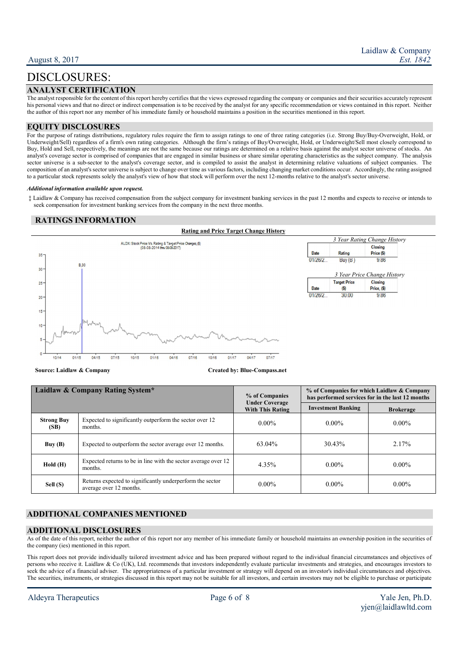# DISCLOSURES:

## ANALYST CERTIFICATION

The analyst responsible for the content of this report hereby certifies that the views expressed regarding the company or companies and their securities accurately represent his personal views and that no direct or indirect compensation is to be received by the analyst for any specific recommendation or views contained in this report. Neither the author of this report nor any member of his immediate family or household maintains a position in the securities mentioned in this report.

### EQUITY DISCLOSURES

For the purpose of ratings distributions, regulatory rules require the firm to assign ratings to one of three rating categories (i.e. Strong Buy/Buy-Overweight, Hold, or Underweight/Sell) regardless of a firm's own rating categories. Although the firm's ratings of Buy/Overweight, Hold, or Underweight/Sell most closely correspond to Buy, Hold and Sell, respectively, the meanings are not the same because our ratings are determined on a relative basis against the analyst sector universe of stocks. An analyst's coverage sector is comprised of companies that are engaged in similar business or share similar operating characteristics as the subject company. The analysis sector universe is a sub-sector to the analyst's coverage sector, and is compiled to assist the analyst in determining relative valuations of subject companies. The composition of an analyst's sector universe is subject to change over time as various factors, including changing market conditions occur. Accordingly, the rating assigned to a particular stock represents solely the analyst's view of how that stock will perform over the next 12-months relative to the analyst's sector universe.

#### Additional information available upon request.

 ‡ Laidlaw & Company has received compensation from the subject company for investment banking services in the past 12 months and expects to receive or intends to seek compensation for investment banking services from the company in the next three months.

### RATINGS INFORMATION



Source: Laidlaw & Company Created by: Blue-Compass.net

| Laidlaw & Company Rating System* |                                                                                      | % of Companies<br><b>Under Coverage</b> | % of Companies for which Laidlaw & Company<br>has performed services for in the last 12 months |                  |  |
|----------------------------------|--------------------------------------------------------------------------------------|-----------------------------------------|------------------------------------------------------------------------------------------------|------------------|--|
|                                  |                                                                                      | <b>With This Rating</b>                 | <b>Investment Banking</b>                                                                      | <b>Brokerage</b> |  |
| <b>Strong Buy</b><br>(SB)        | Expected to significantly outperform the sector over 12<br>months.                   | $0.00\%$                                | $0.00\%$                                                                                       | $0.00\%$         |  |
| Buy(B)                           | Expected to outperform the sector average over 12 months.                            | $63.04\%$                               | 30.43%                                                                                         | 2.17%            |  |
| Hold(H)                          | Expected returns to be in line with the sector average over 12<br>months.            | 4.35%                                   | $0.00\%$                                                                                       | $0.00\%$         |  |
| Sell (S)                         | Returns expected to significantly underperform the sector<br>average over 12 months. | $0.00\%$                                | $0.00\%$                                                                                       | $0.00\%$         |  |

### ADDITIONAL COMPANIES MENTIONED

### ADDITIONAL DISCLOSURES

As of the date of this report, neither the author of this report nor any member of his immediate family or household maintains an ownership position in the securities of the company (ies) mentioned in this report.

This report does not provide individually tailored investment advice and has been prepared without regard to the individual financial circumstances and objectives of persons who receive it. Laidlaw & Co (UK), Ltd. recommends that investors independently evaluate particular investments and strategies, and encourages investors to seek the advice of a financial adviser. The appropriateness of a particular investment or strategy will depend on an investor's individual circumstances and objectives. The securities, instruments, or strategies discussed in this report may not be suitable for all investors, and certain investors may not be eligible to purchase or participate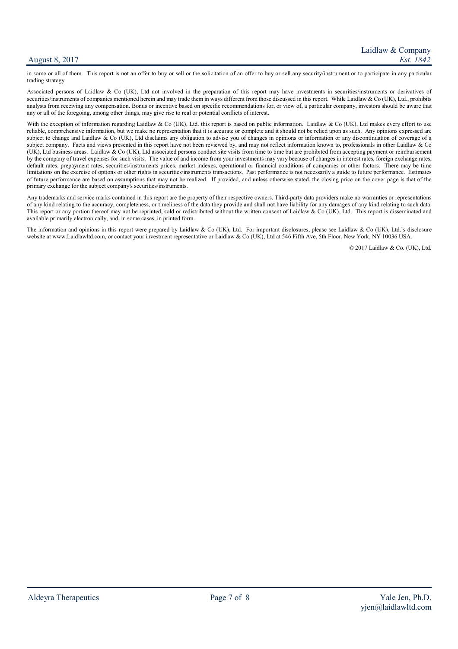### August 8, 2017

in some or all of them. This report is not an offer to buy or sell or the solicitation of an offer to buy or sell any security/instrument or to participate in any particular trading strategy.

Associated persons of Laidlaw & Co (UK), Ltd not involved in the preparation of this report may have investments in securities/instruments or derivatives of securities/instruments of companies mentioned herein and may trade them in ways different from those discussed in this report. While Laidlaw  $\&$  Co (UK), Ltd., prohibits analysts from receiving any compensation. Bonus or incentive based on specific recommendations for, or view of, a particular company, investors should be aware that any or all of the foregoing, among other things, may give rise to real or potential conflicts of interest.

With the exception of information regarding Laidlaw & Co (UK), Ltd. this report is based on public information. Laidlaw & Co (UK), Ltd makes every effort to use reliable, comprehensive information, but we make no representation that it is accurate or complete and it should not be relied upon as such. Any opinions expressed are subject to change and Laidlaw & Co (UK), Ltd disclaims any obligation to advise you of changes in opinions or information or any discontinuation of coverage of a subject company. Facts and views presented in this report have not been reviewed by, and may not reflect information known to, professionals in other Laidlaw & Co (UK), Ltd business areas. Laidlaw & Co (UK), Ltd associated persons conduct site visits from time to time but are prohibited from accepting payment or reimbursement by the company of travel expenses for such visits. The value of and income from your investments may vary because of changes in interest rates, foreign exchange rates, default rates, prepayment rates, securities/instruments prices. market indexes, operational or financial conditions of companies or other factors. There may be time limitations on the exercise of options or other rights in securities/instruments transactions. Past performance is not necessarily a guide to future performance. Estimates of future performance are based on assumptions that may not be realized. If provided, and unless otherwise stated, the closing price on the cover page is that of the primary exchange for the subject company's securities/instruments.

Any trademarks and service marks contained in this report are the property of their respective owners. Third-party data providers make no warranties or representations of any kind relating to the accuracy, completeness, or timeliness of the data they provide and shall not have liability for any damages of any kind relating to such data. This report or any portion thereof may not be reprinted, sold or redistributed without the written consent of Laidlaw & Co (UK), Ltd. This report is disseminated and available primarily electronically, and, in some cases, in printed form.

The information and opinions in this report were prepared by Laidlaw & Co (UK), Ltd. For important disclosures, please see Laidlaw & Co (UK), Ltd.'s disclosure website at www.Laidlawltd.com, or contact your investment representative or Laidlaw & Co (UK), Ltd at 546 Fifth Ave, 5th Floor, New York, NY 10036 USA.

© 2017 Laidlaw & Co. (UK), Ltd.